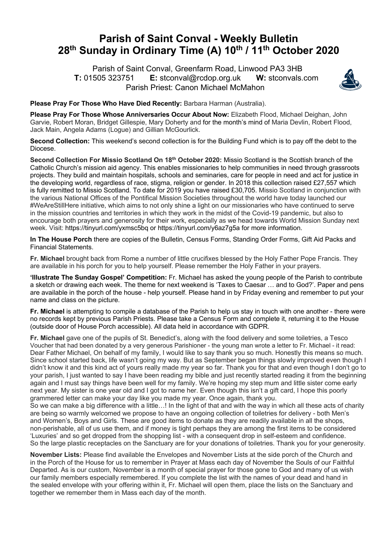## **Parish of Saint Conval - Weekly Bulletin 28th Sunday in Ordinary Time (A) 10th / 11th October 2020**

 Parish of Saint Conval, Greenfarm Road, Linwood PA3 3HB **T:** 01505 323751 **E:** stconval@rcdop.org.uk **W:** stconvals.com Parish Priest: Canon Michael McMahon



**Please Pray For Those Who Have Died Recently:** Barbara Harman (Australia).

**Please Pray For Those Whose Anniversaries Occur About Now:** Elizabeth Flood, Michael Deighan, John Garvie, Robert Moran, Bridget Gillespie, Mary Doherty and for the month's mind of Maria Devlin, Robert Flood, Jack Main, Angela Adams (Logue) and Gillian McGourlick.

**Second Collection:** This weekend's second collection is for the Building Fund which is to pay off the debt to the Diocese.

**Second Collection For Missio Scotland On 18th October 2020:** Missio Scotland is the Scottish branch of the Catholic Church's mission aid agency. This enables missionaries to help communities in need through grassroots projects. They build and maintain hospitals, schools and seminaries, care for people in need and act for justice in the developing world, regardless of race, stigma, religion or gender. In 2018 this collection raised £27,557 which is fully remitted to Missio Scotland. To date for 2019 you have raised £30,705. Missio Scotland in conjunction with the various National Offices of the Pontifical Mission Societies throughout the world have today launched our #WeAreStillHere initiative, which aims to not only shine a light on our missionaries who have continued to serve in the mission countries and territories in which they work in the midst of the Covid-19 pandemic, but also to encourage both prayers and generosity for their work, especially as we head towards World Mission Sunday next week. Visit: https://tinyurl.com/yxmsc5bq or https://tinyurl.com/y6az7g5a for more information.

**In The House Porch** there are copies of the Bulletin, Census Forms, Standing Order Forms, Gift Aid Packs and Financial Statements.

**Fr. Michael** brought back from Rome a number of little crucifixes blessed by the Holy Father Pope Francis. They are available in his porch for you to help yourself. Please remember the Holy Father in your prayers.

**'Illustrate The Sunday Gospel' Competition:** Fr. Michael has asked the young people of the Parish to contribute a sketch or drawing each week. The theme for next weekend is 'Taxes to Caesar … and to God?'. Paper and pens are available in the porch of the house - help yourself. Please hand in by Friday evening and remember to put your name and class on the picture.

**Fr. Michael** is attempting to compile a database of the Parish to help us stay in touch with one another - there were no records kept by previous Parish Priests. Please take a Census Form and complete it, returning it to the House (outside door of House Porch accessible). All data held in accordance with GDPR.

**Fr. Michael** gave one of the pupils of St. Benedict's, along with the food delivery and some toiletries, a Tesco Voucher that had been donated by a very generous Parishioner - the young man wrote a letter to Fr. Michael - it read: Dear Father Michael, On behalf of my family, I would like to say thank you so much. Honestly this means so much. Since school started back, life wasn't going my way. But as September began things slowly improved even though I didn't know it and this kind act of yours really made my year so far. Thank you for that and even though I don't go to your parish, I just wanted to say I have been reading my bible and just recently started reading it from the beginning again and I must say things have been well for my family. We're hoping my step mum and little sister come early next year. My sister is one year old and I got to name her. Even though this isn't a gift card, I hope this poorly grammered letter can make your day like you made my year. Once again, thank you.

So we can make a big difference with a little…! In the light of that and with the way in which all these acts of charity are being so warmly welcomed we propose to have an ongoing collection of toiletries for delivery - both Men's and Women's, Boys and Girls. These are good items to donate as they are readily available in all the shops, non-perishable, all of us use them, and if money is tight perhaps they are among the first items to be considered 'Luxuries' and so get dropped from the shopping list - with a consequent drop in self-esteem and confidence. So the large plastic receptacles on the Sanctuary are for your donations of toiletries. Thank you for your generosity.

**November Lists:** Please find available the Envelopes and November Lists at the side porch of the Church and in the Porch of the House for us to remember in Prayer at Mass each day of November the Souls of our Faithful Departed. As is our custom, November is a month of special prayer for those gone to God and many of us wish our family members especially remembered. If you complete the list with the names of your dead and hand in the sealed envelope with your offering within it, Fr. Michael will open them, place the lists on the Sanctuary and together we remember them in Mass each day of the month.